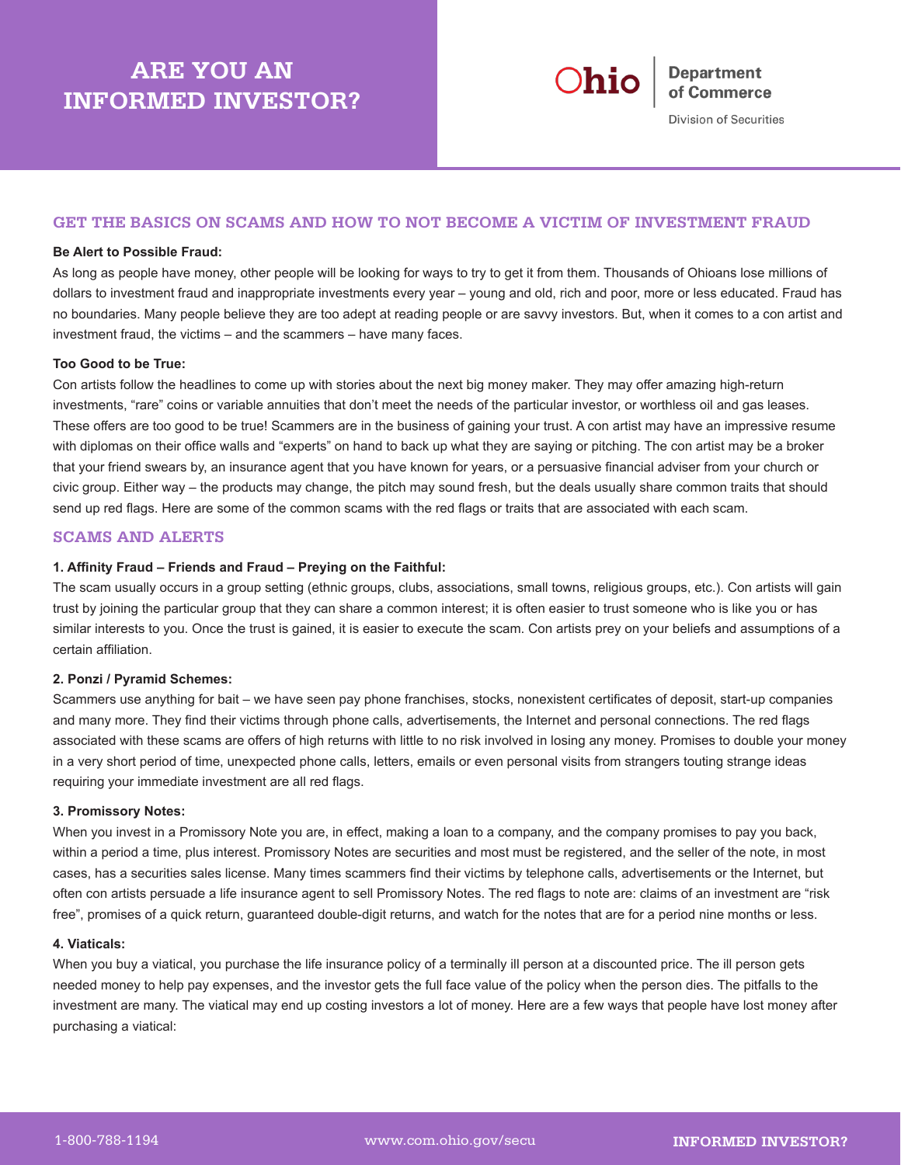# **ARE YOU AN INFORMED INVESTOR?**



Division of Securities

# **GET THE BASICS ON SCAMS AND HOW TO NOT BECOME A VICTIM OF INVESTMENT FRAUD**

#### **Be Alert to Possible Fraud:**

As long as people have money, other people will be looking for ways to try to get it from them. Thousands of Ohioans lose millions of dollars to investment fraud and inappropriate investments every year – young and old, rich and poor, more or less educated. Fraud has no boundaries. Many people believe they are too adept at reading people or are savvy investors. But, when it comes to a con artist and investment fraud, the victims – and the scammers – have many faces.

#### **Too Good to be True:**

Con artists follow the headlines to come up with stories about the next big money maker. They may offer amazing high-return investments, "rare" coins or variable annuities that don't meet the needs of the particular investor, or worthless oil and gas leases. These offers are too good to be true! Scammers are in the business of gaining your trust. A con artist may have an impressive resume with diplomas on their office walls and "experts" on hand to back up what they are saying or pitching. The con artist may be a broker that your friend swears by, an insurance agent that you have known for years, or a persuasive financial adviser from your church or civic group. Either way – the products may change, the pitch may sound fresh, but the deals usually share common traits that should send up red flags. Here are some of the common scams with the red flags or traits that are associated with each scam.

# **SCAMS AND ALERTS**

#### **1. Affinity Fraud – Friends and Fraud – Preying on the Faithful:**

The scam usually occurs in a group setting (ethnic groups, clubs, associations, small towns, religious groups, etc.). Con artists will gain trust by joining the particular group that they can share a common interest; it is often easier to trust someone who is like you or has similar interests to you. Once the trust is gained, it is easier to execute the scam. Con artists prey on your beliefs and assumptions of a certain affiliation.

#### **2. Ponzi / Pyramid Schemes:**

Scammers use anything for bait – we have seen pay phone franchises, stocks, nonexistent certificates of deposit, start-up companies and many more. They find their victims through phone calls, advertisements, the Internet and personal connections. The red flags associated with these scams are offers of high returns with little to no risk involved in losing any money. Promises to double your money in a very short period of time, unexpected phone calls, letters, emails or even personal visits from strangers touting strange ideas requiring your immediate investment are all red flags.

#### **3. Promissory Notes:**

When you invest in a Promissory Note you are, in effect, making a loan to a company, and the company promises to pay you back, within a period a time, plus interest. Promissory Notes are securities and most must be registered, and the seller of the note, in most cases, has a securities sales license. Many times scammers find their victims by telephone calls, advertisements or the Internet, but often con artists persuade a life insurance agent to sell Promissory Notes. The red flags to note are: claims of an investment are "risk free", promises of a quick return, guaranteed double-digit returns, and watch for the notes that are for a period nine months or less.

#### **4. Viaticals:**

When you buy a viatical, you purchase the life insurance policy of a terminally ill person at a discounted price. The ill person gets needed money to help pay expenses, and the investor gets the full face value of the policy when the person dies. The pitfalls to the investment are many. The viatical may end up costing investors a lot of money. Here are a few ways that people have lost money after purchasing a viatical: